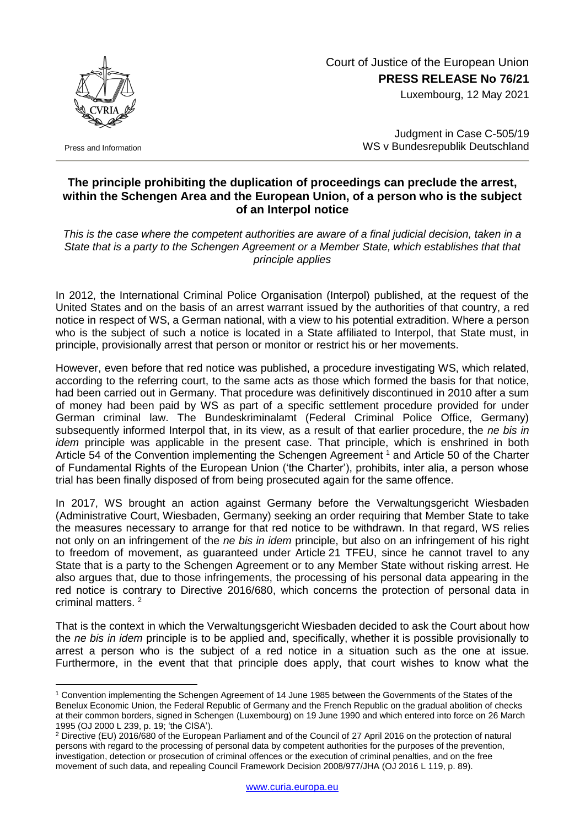## Court of Justice of the European Union **PRESS RELEASE No 76/21**

Luxembourg, 12 May 2021



Press and Information

1

Judgment in Case C-505/19 WS v Bundesrepublik Deutschland

## **The principle prohibiting the duplication of proceedings can preclude the arrest, within the Schengen Area and the European Union, of a person who is the subject of an Interpol notice**

*This is the case where the competent authorities are aware of a final judicial decision, taken in a State that is a party to the Schengen Agreement or a Member State, which establishes that that principle applies*

In 2012, the International Criminal Police Organisation (Interpol) published, at the request of the United States and on the basis of an arrest warrant issued by the authorities of that country, a red notice in respect of WS, a German national, with a view to his potential extradition. Where a person who is the subject of such a notice is located in a State affiliated to Interpol, that State must, in principle, provisionally arrest that person or monitor or restrict his or her movements.

However, even before that red notice was published, a procedure investigating WS, which related, according to the referring court, to the same acts as those which formed the basis for that notice, had been carried out in Germany. That procedure was definitively discontinued in 2010 after a sum of money had been paid by WS as part of a specific settlement procedure provided for under German criminal law. The Bundeskriminalamt (Federal Criminal Police Office, Germany) subsequently informed Interpol that, in its view, as a result of that earlier procedure, the *ne bis in idem* principle was applicable in the present case. That principle, which is enshrined in both Article 54 of the Convention implementing the Schengen Agreement<sup>1</sup> and Article 50 of the Charter of Fundamental Rights of the European Union ('the Charter'), prohibits, inter alia, a person whose trial has been finally disposed of from being prosecuted again for the same offence.

In 2017, WS brought an action against Germany before the Verwaltungsgericht Wiesbaden (Administrative Court, Wiesbaden, Germany) seeking an order requiring that Member State to take the measures necessary to arrange for that red notice to be withdrawn. In that regard, WS relies not only on an infringement of the *ne bis in idem* principle, but also on an infringement of his right to freedom of movement, as guaranteed under Article 21 TFEU, since he cannot travel to any State that is a party to the Schengen Agreement or to any Member State without risking arrest. He also argues that, due to those infringements, the processing of his personal data appearing in the red notice is contrary to Directive 2016/680, which concerns the protection of personal data in criminal matters. <sup>2</sup>

That is the context in which the Verwaltungsgericht Wiesbaden decided to ask the Court about how the *ne bis in idem* principle is to be applied and, specifically, whether it is possible provisionally to arrest a person who is the subject of a red notice in a situation such as the one at issue. Furthermore, in the event that that principle does apply, that court wishes to know what the

<sup>1</sup> Convention implementing the Schengen Agreement of 14 June 1985 between the Governments of the States of the Benelux Economic Union, the Federal Republic of Germany and the French Republic on the gradual abolition of checks at their common borders, signed in Schengen (Luxembourg) on 19 June 1990 and which entered into force on 26 March 1995 (OJ 2000 L 239, p. 19; 'the CISA').

<sup>2</sup> Directive (EU) 2016/680 of the European Parliament and of the Council of 27 April 2016 on the protection of natural persons with regard to the processing of personal data by competent authorities for the purposes of the prevention, investigation, detection or prosecution of criminal offences or the execution of criminal penalties, and on the free movement of such data, and repealing Council Framework Decision 2008/977/JHA (OJ 2016 L 119, p. 89).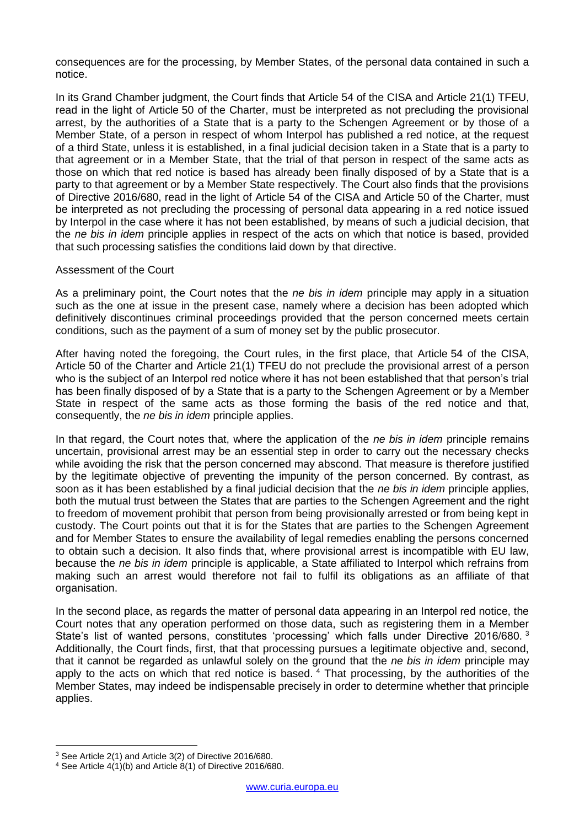consequences are for the processing, by Member States, of the personal data contained in such a notice.

In its Grand Chamber judgment, the Court finds that Article 54 of the CISA and Article 21(1) TFEU, read in the light of Article 50 of the Charter, must be interpreted as not precluding the provisional arrest, by the authorities of a State that is a party to the Schengen Agreement or by those of a Member State, of a person in respect of whom Interpol has published a red notice, at the request of a third State, unless it is established, in a final judicial decision taken in a State that is a party to that agreement or in a Member State, that the trial of that person in respect of the same acts as those on which that red notice is based has already been finally disposed of by a State that is a party to that agreement or by a Member State respectively. The Court also finds that the provisions of Directive 2016/680, read in the light of Article 54 of the CISA and Article 50 of the Charter, must be interpreted as not precluding the processing of personal data appearing in a red notice issued by Interpol in the case where it has not been established, by means of such a judicial decision, that the *ne bis in idem* principle applies in respect of the acts on which that notice is based, provided that such processing satisfies the conditions laid down by that directive.

## Assessment of the Court

As a preliminary point, the Court notes that the *ne bis in idem* principle may apply in a situation such as the one at issue in the present case, namely where a decision has been adopted which definitively discontinues criminal proceedings provided that the person concerned meets certain conditions, such as the payment of a sum of money set by the public prosecutor.

After having noted the foregoing, the Court rules, in the first place, that Article 54 of the CISA, Article 50 of the Charter and Article 21(1) TFEU do not preclude the provisional arrest of a person who is the subject of an Interpol red notice where it has not been established that that person's trial has been finally disposed of by a State that is a party to the Schengen Agreement or by a Member State in respect of the same acts as those forming the basis of the red notice and that, consequently, the *ne bis in idem* principle applies.

In that regard, the Court notes that, where the application of the *ne bis in idem* principle remains uncertain, provisional arrest may be an essential step in order to carry out the necessary checks while avoiding the risk that the person concerned may abscond. That measure is therefore justified by the legitimate objective of preventing the impunity of the person concerned. By contrast, as soon as it has been established by a final judicial decision that the *ne bis in idem* principle applies, both the mutual trust between the States that are parties to the Schengen Agreement and the right to freedom of movement prohibit that person from being provisionally arrested or from being kept in custody. The Court points out that it is for the States that are parties to the Schengen Agreement and for Member States to ensure the availability of legal remedies enabling the persons concerned to obtain such a decision. It also finds that, where provisional arrest is incompatible with EU law, because the *ne bis in idem* principle is applicable, a State affiliated to Interpol which refrains from making such an arrest would therefore not fail to fulfil its obligations as an affiliate of that organisation.

In the second place, as regards the matter of personal data appearing in an Interpol red notice, the Court notes that any operation performed on those data, such as registering them in a Member State's list of wanted persons, constitutes 'processing' which falls under Directive 2016/680.<sup>3</sup> Additionally, the Court finds, first, that that processing pursues a legitimate objective and, second, that it cannot be regarded as unlawful solely on the ground that the *ne bis in idem* principle may apply to the acts on which that red notice is based.  $4$  That processing, by the authorities of the Member States, may indeed be indispensable precisely in order to determine whether that principle applies.

1

<sup>3</sup> See Article 2(1) and Article 3(2) of Directive 2016/680.

<sup>4</sup> See Article 4(1)(b) and Article 8(1) of Directive 2016/680.